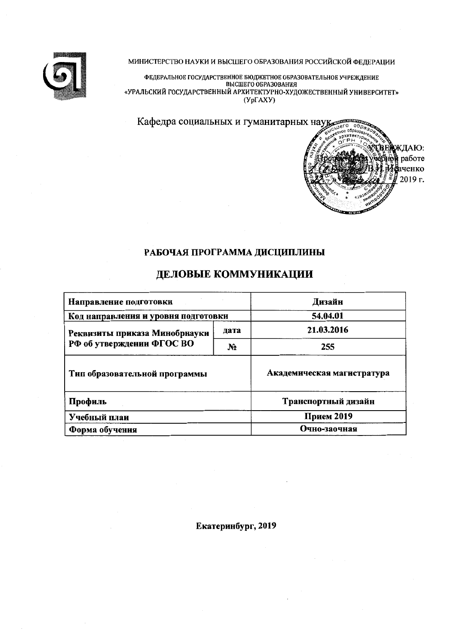

МИНИСТЕРСТВО НАУКИ И ВЫСШЕГО ОБРАЗОВАНИЯ РОССИЙСКОЙ ФЕДЕРАЦИИ

ФЕДЕРАЛЬНОЕ ГОСУДАРСТВЕННОЕ БЮДЖЕТНОЕ ОБРАЗОВАТЕЛЬНОЕ УЧРЕЖДЕНИЕ<br>ВЫСШЕГО ОБРАЗОВАНИЯ<br>«УРАЛЬСКИЙ ГОСУДАРСТВЕННЫЙ АРХИТЕКТУРНО-ХУДОЖЕСТВЕННЫЙ УНИВЕРСИТЕТ»  $(Yp\Gamma A X Y)$ 

> ЖДАЮ: работе иченко  $2019r.$

Кафедра социальных и гуманитарных науд



# ДЕЛОВЫЕ КОММУНИКАЦИИ

| Направление подготовки              | Дизайн         |                            |
|-------------------------------------|----------------|----------------------------|
| Код направления и уровня подготовки | 54.04.01       |                            |
| Реквизиты приказа Минобрнауки       | дата           | 21.03.2016                 |
| РФ об утверждении ФГОС ВО           | N <sub>2</sub> | 255                        |
| Тнп образовательной программы       |                | Академическая магистратура |
| Профиль                             |                | Транспортный дизайн        |
| Учебный плаи                        | Прием 2019     |                            |
| Форма обучения                      |                | Очно-заочная               |

Екатеринбург, 2019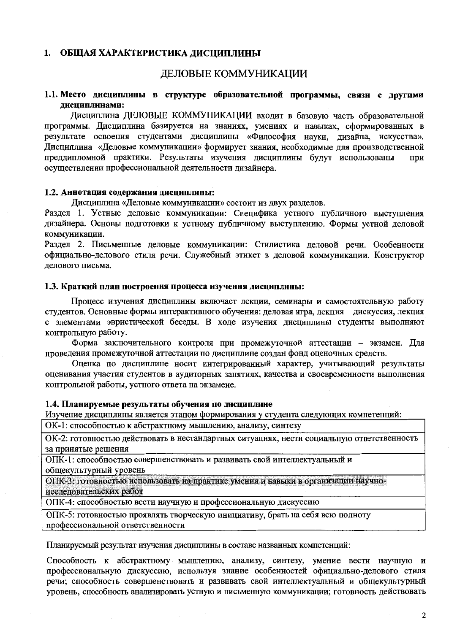### 1. ОБЩАЯ ХАРАКТЕРИСТИКА ДИСЦИПЛИНЫ

## ДЕЛОВЫЕ КОММУНИКАЦИИ

## 1.1. Место дисциплины в структуре образовательной программы, связи с другими лиспиплинами:

Дисциплина ДЕЛОВЫЕ КОММУНИКАЦИИ входит в базовую часть образовательной программы. Дисциплина базируется на знаниях, умениях и навыках, сформированных в результате освоения студентами дисциплины «Философия науки, дизайна, искусства». Дисциплина «Деловые коммуникации» формирует знания, необходимые для производственной преддипломной практики. Результаты изучения дисциплины будут использованы при осуществлении профессиональной деятельности дизайнера.

#### 1.2. Аннотация содержания дисциплины:

Лисциплина «Деловые коммуникации» состоит из двух разделов.

Раздел 1. Устные деловые коммуникации: Специфика устного публичного выступления дизайнера. Основы подготовки к устному публичному выступлению. Формы устной деловой коммуникации.

Раздел 2. Письменные деловые коммуникации: Стилистика деловой речи. Особенности официально-делового стиля речи. Служебный этикет в деловой коммуникации. Конструктор делового письма.

#### 1.3. Краткий план построення процесса изучення дисциплнны:

Процесс изучения дисциплины включает лекции, семинары и самостоятельную работу студентов. Основные формы интерактивного обучения: деловая игра, лекция - дискуссия, лекция с элементами эвристической беседы. В ходе изучения дисциплины студенты выполняют контрольную работу.

Форма заключительного контроля при промежуточной аттестации - экзамен. Для проведения промежуточной аттестации по дисциплине создан фонд оценочных средств.

Оценка по дисциплине носит интегрированный характер, учитывающий результаты оценивания участия студентов в аудиторных занятиях, качества и своевременности выполнения контрольной работы, устного ответа на экзамене.

#### 1.4. Планируемые результаты обучения по дисциплине

Изучение дисциплины является этапом формирования у студента следующих компетенций:

ОК-1: способностью к абстрактному мышлению, анализу, синтезу

ОК-2: готовностью действовать в нестандартных ситуациях, нести социальную ответственность за принятые решения

ОПК-1: способностью совершенствовать и развивать свой интеллектуальный и

общекультурный уровень

ОПК-3: готовностью использовать на практике умения и навыки в организации научноисследовательских работ

ОПК-4: способностью вести научную и профессиональную дискуссию

ОПК-5: готовностью проявлять творческую инициативу, брать на себя всю полноту профессиональной ответственности

Планируемый результат изучения дисциплины в составе названных компетенций:

Способность к абстрактному мышлению, анализу, синтезу, умение вести научную и профессиональную дискуссию, используя знание особенностей официально-делового стиля речи; способность совершенствовать и развивать свой интеллектуальный и общекультурный уровень, способность анализировать устную и письменную коммуникации; готовность действовать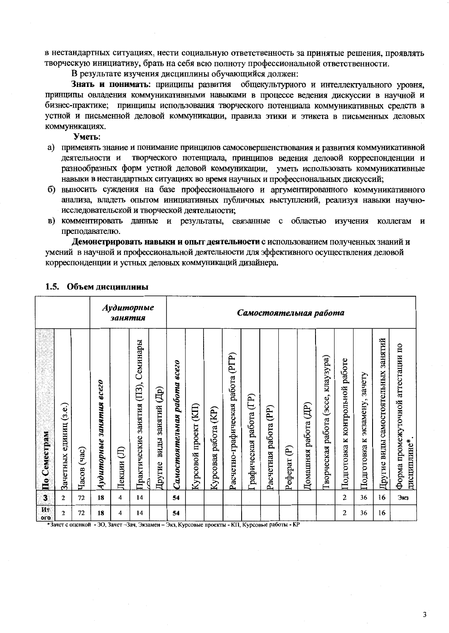в нестандартных ситуациях, нести социальную ответственность за принятые решения, проявлять творческую инициативу, брать на себя всю полноту профессиональной ответственности.

В результате изучения дисциплины обучающийся должен:

Знать и понимать: принципы развития общекультурного и интеллектуального уровня, принципы овладения коммуникативными навыками в процессе ведения дискуссии в научной и бизнес-практике; принципы использования творческого потенциала коммуникативных средств в устной и письменной деловой коммуникации, правила этики и этикета в письменных деловых коммуникациях.

Уметь:

- а) применять знание и понимание принципов самосовершенствования и развития коммуникативной творческого потенциала, принципов ведения деловой корреспонденции и деятельности и разнообразных форм устной деловой коммуникации, уметь использовать коммуникативные навыки в нестандартных ситуациях во время научных и профессиональных дискуссий;
- б) выносить суждения на базе профессионального и аргументированного коммуникативного анализа, владеть опытом инициативных публичных выступлений, реализуя навыки научноисследовательской и творческой деятельности;
- в) комментировать данные и результаты, связанные с областью изучения коллегам и преподавателю.

Демонстрировать навыки и опыт деятельности с использованием полученных знаний и умений в научной и профессиональной деятельности для эффективного осуществления деловой корреспонденции и устных деловых коммуникаций дизайнера.

|                         |                              |                |                                          | занятия     | Аудиторные                             |                             | Самостоятельная работа       |                          |                           |                                   |                         |                                    |                                   |                                   |                                             |                                       |                                     |                                        |                                                   |
|-------------------------|------------------------------|----------------|------------------------------------------|-------------|----------------------------------------|-----------------------------|------------------------------|--------------------------|---------------------------|-----------------------------------|-------------------------|------------------------------------|-----------------------------------|-----------------------------------|---------------------------------------------|---------------------------------------|-------------------------------------|----------------------------------------|---------------------------------------------------|
| По Семестрам            | (3.e.)<br>единиц<br>Зачетных | (aac)<br>Часов | $\epsilon$ cezo<br>занятия<br>Аудиторные | E<br>Лекции | занятия (ПЗ), Семинары<br>Практические | виды занятий (Др)<br>Другие | Самостоятельная работа всего | (KII)<br>Курсовой проект | (E)<br>работа<br>Курсовая | Расчетно-графическая работа (PГР) | Графическая работа (ГР) | $(\mathbb{P})$<br>Расчетная работа | $\widehat{\mathbf{e}}$<br>Pedepar | $(\mathbb{H})$<br>Домашняя работа | клаузура)<br>(acce,<br>работа<br>Гворческая | работе<br>контрольной<br>Подготовка к | зачету<br>экзамену,<br>Подготовка к | занятий<br>Другие виды самостоятельных | Форма промежуточной аттестации по<br>дисциплине*. |
| $\overline{\mathbf{3}}$ | $\overline{2}$               | 72             | 18                                       | 4           | 14                                     |                             | 54                           |                          |                           |                                   |                         |                                    |                                   |                                   |                                             | 2                                     | 36                                  | 16                                     | Экз                                               |
| Ит<br>oro               | $\mathbf{2}$                 | 72             | 18                                       | 4           | 14                                     |                             | 54                           |                          |                           |                                   |                         |                                    |                                   |                                   |                                             | 2                                     | 36                                  | 16                                     |                                                   |

#### 1.5. Объем дисциплины

\*Зачет с оценкой - 30, Зачет - Зач, Экзамен - Экз, Курсовые проекты - КП, Курсовые работы - КР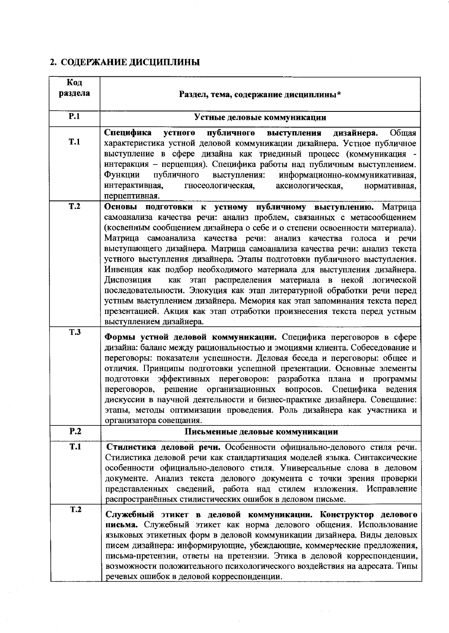# 2. СОДЕРЖАНИЕ ДИСЦИПЛИНЫ

| Код        |                                                                                                                                                                                                                                                                                                                                                                                                                                                                                                                                                                                                                                                                                                                                                                                                                                                          |
|------------|----------------------------------------------------------------------------------------------------------------------------------------------------------------------------------------------------------------------------------------------------------------------------------------------------------------------------------------------------------------------------------------------------------------------------------------------------------------------------------------------------------------------------------------------------------------------------------------------------------------------------------------------------------------------------------------------------------------------------------------------------------------------------------------------------------------------------------------------------------|
| раздела    | Раздел, тема, содержание дисциплины*                                                                                                                                                                                                                                                                                                                                                                                                                                                                                                                                                                                                                                                                                                                                                                                                                     |
| P.1        | Устные деловые коммуникации                                                                                                                                                                                                                                                                                                                                                                                                                                                                                                                                                                                                                                                                                                                                                                                                                              |
| <b>T.1</b> | Специфика<br>публичного<br>устного<br>дизайнера.<br>Общая<br>выступления<br>характеристика устной деловой коммуникации дизайнера. Устное публичное<br>выступление в сфере дизайна как триединый процесс (коммуникация -<br>интеракция - перцепция). Специфика работы над публичным выступлением.<br>публичного<br>Функции<br>информационно-коммуникативная,<br>выступления:<br>интерактивная,<br>гносеологическая,<br>аксиологическая,<br>нормативная,<br>перцептивная.                                                                                                                                                                                                                                                                                                                                                                                  |
| T.2        | Основы подготовки к устному публичному выступлению. Матрица<br>самоанализа качества речи: анализ проблем, связанных с метасообщением<br>(косвенным сообщением дизайнера о себе и о степени освоенности материала).<br>Матрица самоанализа качества речи: анализ качества голоса и речи<br>выступающего дизайнера. Матрица самоанализа качества речи: анализ текста<br>устного выступления дизайнера. Этапы подготовки публичного выступления.<br>Инвенция как подбор необходимого материала для выступления дизайнера.<br>как этап распределения материала в некой логической<br>Диспозиция<br>последовательности. Элокуция как этап литературной обработки речи перед<br>устным выступлением дизайнера. Мемория как этап запоминания текста перед<br>презентацией. Акция как этап отработки произнесения текста перед устным<br>выступлением дизайнера. |
| <b>T.3</b> | Формы устной деловой коммуникации. Специфика переговоров в сфере<br>дизайна: баланс между рациональностью и эмоциями клиента. Собеседование и<br>переговоры: показатели успешности. Деловая беседа и переговоры: общее и<br>отличия. Принципы подготовки успешной презентации. Основные элементы<br>подготовки эффективных переговоров: разработка плана и программы<br>переговоров, решение организационных вопросов.<br>Специфика ведения<br>дискуссии в научной деятельности и бизнес-практике дизайнера. Совещание:<br>этапы, методы оптимизации проведения. Роль дизайнера как участника и<br>организатора совещания.                                                                                                                                                                                                                               |
| P.2        | Письменные деловые коммуникации                                                                                                                                                                                                                                                                                                                                                                                                                                                                                                                                                                                                                                                                                                                                                                                                                          |
| <b>T.1</b> | Стилистика деловой речи. Особенности официально-делового стиля речи.<br>Стилистика деловой речи как стандартизация моделей языка. Синтаксические<br>особенности официально-делового стиля. Универсальные слова в деловом<br>документе. Анализ текста делового документа с точки зрения проверки<br>представленных сведений, работа над стилем изложения. Исправление<br>распространённых стилистических ошибок в деловом письме.                                                                                                                                                                                                                                                                                                                                                                                                                         |
| T.2        | Служебный этикет в деловой коммуникации. Конструктор делового<br>письма. Служебный этикет как норма делового общения. Использование<br>языковых этикетных форм в деловой коммуникации дизайнера. Виды деловых<br>писем дизайнера: информирующие, убеждающие, коммерческие предложения,<br>письма-претензии, ответы на претензии. Этика в деловой корреспонденции,<br>возможности положительного психологического воздействия на адресата. Типы<br>речевых ошибок в деловой корреспонденции.                                                                                                                                                                                                                                                                                                                                                              |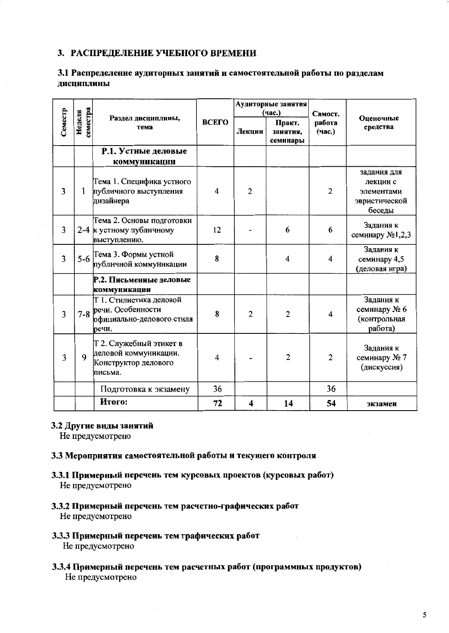## 3. РАСПРЕДЕЛЕНИЕ УЧЕБНОГО ВРЕМЕНИ

## 3.1 Распределение аудиторных занятий и самостоятельной работы по разделам дисциплины

|                |                    |                                                                                     |                |                | Аудиторные занятня<br>(час.)   | Самост.          |                                                                  |
|----------------|--------------------|-------------------------------------------------------------------------------------|----------------|----------------|--------------------------------|------------------|------------------------------------------------------------------|
| Семестр        | семестра<br>Неделя | Раздел дисциплины,<br>тема                                                          | ВСЕГО          | Лекции         | Практ.<br>занятня,<br>семинары | работа<br>(час.) | Оценочные<br>средства                                            |
|                |                    | Р.1. Устные деловые<br>коммуникации                                                 |                |                |                                |                  |                                                                  |
| 3              | 1                  | Тема 1. Специфика устного<br>публичного выступления<br>дизайнера                    | $\overline{4}$ | $\overline{2}$ |                                | 2                | задания для<br>лекции с<br>элементами<br>эвристической<br>беседы |
| 3              |                    | Тема 2. Основы подготовки<br>2-4 к устному публичному<br>выступлению.               | 12             |                | 6                              | 6                | Задания к<br>семинару №1,2,3                                     |
| 3              | $5-6$              | Тема 3. Формы устной<br>публичной коммуникации                                      | 8              |                | 4                              | 4                | Задания к<br>семинару 4,5<br>(деловая игра)                      |
|                |                    | Р.2. Письменные деловые<br>коммуникации                                             |                |                |                                |                  |                                                                  |
| $\overline{3}$ | $7 - 8$            | Т 1. Стилистика деловой<br>речи. Особенности<br>официально-делового стиля<br>речи.  | 8              | $\overline{2}$ | $\overline{2}$                 | 4                | Задания к<br>семинару № 6<br>(контрольная<br>работа)             |
| 3              | 9                  | Т 2. Служебный этикет в<br>деловой коммуникации.<br>Конструктор делового<br>письма. | 4              |                | $\overline{2}$                 | $\overline{2}$   | Задания к<br>семинару № 7<br>(дискуссия)                         |
|                |                    | Подготовка к экзамену                                                               | 36             |                |                                | 36               |                                                                  |
|                |                    | Итого:                                                                              | 72             | 4              | 14                             | 54               | экзамен                                                          |

#### 3.2 Другие виды занятий

Не предусмотрено

## 3.3 Мероприятия самостоятельной работы и текущего контроля

- 3.3.1 Примерный перечень тем курсовых проектов (курсовых работ) Не предусмотрено
- 3.3.2 Примерный перечень тем расчетно-графических работ Не предусмотрено
- 3.3.3 Примерный перечень тем графических работ

Не предусмотрено

3.3.4 Примерный перечень тем расчетных работ (программных продуктов) Не предусмотрено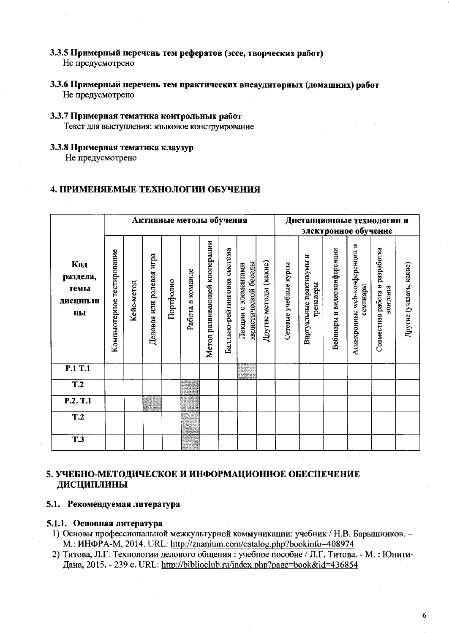- 3.3.5 Примерный перечень тем рефератов (эссе, творческих работ) Не предусмотрено
- 3.3.6 Примерный перечень тем практических внеаудиторных (домашних) работ Не предусмотрено

#### 3.3.7 Примерная тематика контрольных работ Текст для выступления: языковое конструирование

## 3.3.8 Примерная тематика клаузур

Не предусмотрено

## 4. ПРИМЕНЯЕМЫЕ ТЕХНОЛОГИИ ОБУЧЕНИЯ

|                                           |                           |            | Активные методы обучения |           |                  |                              |                             |                                                         |                       | Дистанционные техиологии и<br>электронное обучение |                                       |                             |                                           |                                            |                         |
|-------------------------------------------|---------------------------|------------|--------------------------|-----------|------------------|------------------------------|-----------------------------|---------------------------------------------------------|-----------------------|----------------------------------------------------|---------------------------------------|-----------------------------|-------------------------------------------|--------------------------------------------|-------------------------|
| Код<br>раздела,<br>темы<br>дисципли<br>ны | Компьютерное тестирование | Кейс-метод | Деловая или ролевая игра | Портфолио | Работа в команде | Метод развивающей кооперации | Балльно-рейтинговая система | эвристической беседы<br>элементами<br>$\circ$<br>Лекции | Другие методы (какие) | Сетевые учебные курсы                              | Виртуальные практикумы и<br>гренажеры | Вебинары и видеоконференции | Асинхронные web-конференции и<br>семинары | Совместная работа и разработка<br>контента | Другие (указать, какие) |
| P.1 T.1                                   |                           |            |                          |           |                  |                              |                             |                                                         |                       |                                                    |                                       |                             |                                           |                                            |                         |
| T.2                                       |                           |            |                          |           |                  |                              |                             |                                                         |                       |                                                    |                                       |                             |                                           |                                            |                         |
| P.2. T.1                                  |                           |            |                          |           |                  |                              |                             |                                                         |                       |                                                    |                                       |                             |                                           |                                            |                         |
| T.2                                       |                           |            |                          |           |                  |                              |                             |                                                         |                       |                                                    |                                       |                             |                                           |                                            |                         |
| <b>T.3</b>                                |                           |            |                          |           |                  |                              |                             |                                                         |                       |                                                    |                                       |                             |                                           |                                            |                         |

## 5. УЧЕБНО-МЕТОДИЧЕСКОЕ И ИНФОРМАЦИОННОЕ ОБЕСПЕЧЕНИЕ ДИСЦИПЛИНЫ

## 5.1. Рекомендуемая литература

#### 5.1.1. Основная литература

- 1) Основы профессиональной межкультурной коммуникации: учебник / Н.В. Барышников. -M.: ИНФРА-М, 2014. URL: http://znanium.com/catalog.php?bookinfo=408974
- 2) Титова, Л.Г. Технологии делового общения : учебное пособие / Л.Г. Титова. М. : Юнити-Дана, 2015. - 239 с. URL: http://biblioclub.ru/index.php?page=book&id=436854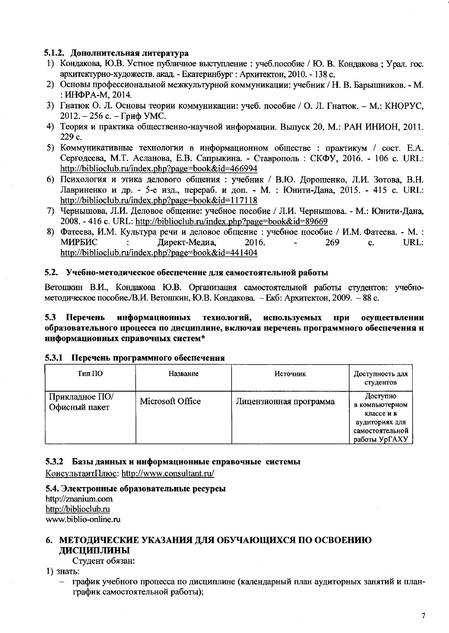## 5.1.2. Дополнительная литература

- 1) Кондакова, Ю.В. Устное публичное выступление : учеб.пособие / Ю. В. Кондакова; Урал. гос. архитектурно-художеств. акад. - Екатеринбург : Архитектон, 2010. - 138 с.
- 2) Основы профессиональной межкультурной коммуникации: учебник / Н. В. Барышников. М. : ИНФРА-М. 2014.
- 3) Гнатюк О. Л. Основы теории коммуникации: учеб. пособие / О. Л. Гнатюк. М.: КНОРУС, 2012. – 256 с. – Гриф УМС.
- 4) Теория и практика общественно-научной информации. Выпуск 20, М.: РАН ИНИОН, 2011. 229 c.
- 5) Коммуникативные технологии в информационном обществе: практикум / сост. Е.А. Сергодеева, М.Т. Асланова, Е.В. Сапрыкина. - Ставрополь: СКФУ, 2016. - 106 с. URL: http://biblioclub.ru/index.php?page=book&id=466994
- 6) Психология и этика делового общения: учебник / В.Ю. Дорошенко, Л.И. Зотова, В.Н. Лавриненко и др. - 5-е изд., перераб. и доп. - М. : Юнити-Дана, 2015. - 415 с. URL: http://biblioclub.ru/index.php?page=book&id=117118
- 7) Чернышова, Л.И. Деловое общение: учебное пособие / Л.И. Чернышова. М.: Юнити-Дана, 2008. - 416 c. URL: http://biblioclub.ru/index.php?page=book&id=89669
- 8) Фатеева, И.М. Культура речи и деловое общение : учебное пособие / И.М. Фатеева. М. : МИРБИС Директ-Медиа. 2016. 269 URL:  $\ddot{\cdot}$  $\mathbf{c}$ . http://biblioclub.ru/index.php?page=book&id=441404

#### 5.2. Учебно-методическое обеспечение для самостоятельной работы

Ветошкин В.И., Кондакова Ю.В. Организация самостоятельной работы студентов: учебнометодическое пособие./В.И. Ветошкин, Ю.В. Кондакова. - Екб: Архитектон, 2009. - 88 с.

#### информационных технологий, используемых  $5.3$ Перечень при осуществлении образовательного процесса по дисциплине, включая перечень программного обеспечения и ннформационных справочных систем\*

#### 5.3.1 Перечень программного обеспечення

| Тип ПО                          | Название         | <b>Источник</b>        | Доступность для<br>студентов                                                                   |
|---------------------------------|------------------|------------------------|------------------------------------------------------------------------------------------------|
| Прикладное ПО/<br>Офисный пакет | Microsoft Office | Лицензионная программа | Доступно<br>в компьютерном<br>классе и в<br>аудиториях для<br>самостоятельной<br>работы УрГАХУ |

#### 5.3.2 Базы данных и ннформационные справочные системы

КонсультантПлюс: http://www.consultant.ru/

#### 5.4. Электронные образовательные ресурсы http://znanium.com http://biblioclub.ru www.biblio-online.ru

## 6. МЕТОДИЧЕСКИЕ УКАЗАНИЯ ДЛЯ ОБУЧАЮЩИХСЯ ПО ОСВОЕНИЮ ДИСЦИПЛИНЫ

Студент обязан:

1) знать:

график учебного процесса по дисциплине (календарный план аудиторных занятий и планграфик самостоятельной работы);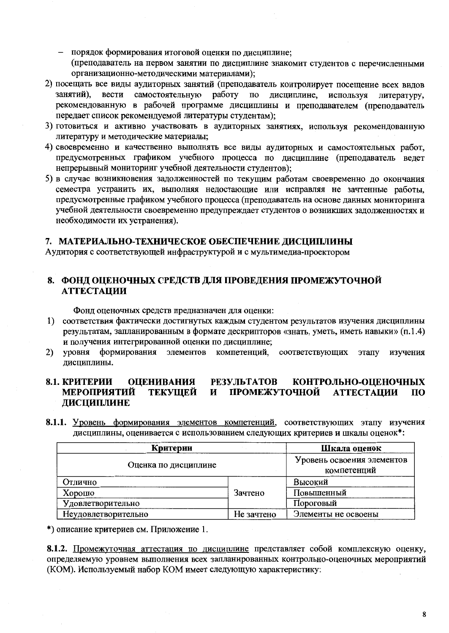- порядок формирования итоговой оценки по дисциплине; (преподаватель на первом занятии по дисциплине знакомит студентов с перечисленными организационно-методическими материалами);
- 2) посещать все виды аудиторных занятий (преподаватель контролирует посещение всех видов занятий). вести самостоятельную работу по дисциплине, используя литературу, рекомендованную в рабочей программе дисциплины и преподавателем (преподаватель передает список рекомендуемой литературы студентам);
- 3) готовиться и активно участвовать в аудиторных занятиях, используя рекомендованную литературу и методические материалы;
- 4) своевременно и качественно выполнять все виды аудиторных и самостоятельных работ, предусмотренных графиком учебного процесса по дисциплине (преподаватель ведет непрерывный мониторинг учебной деятельности студентов);
- 5) в случае возникновения задолженностей по текущим работам своевременно до окончания семестра устранить их, выполняя недостающие или исправляя не зачтенные работы, предусмотренные графиком учебного процесса (преподаватель на основе данных мониторинга учебной деятельности своевременно предупреждает студентов о возникших задолженностях и необходимости их устранения).

## 7. МАТЕРИАЛЬНО-ТЕХНИЧЕСКОЕ ОБЕСПЕЧЕНИЕ ДИСЦИПЛИНЫ

Аудитория с соответствующей инфраструктурой и с мультимедиа-проектором

## 8. ФОНД ОЦЕНОЧНЫХ СРЕДСТВ ДЛЯ ПРОВЕДЕНИЯ ПРОМЕЖУТОЧНОЙ **АТТЕСТАЦИИ**

Фонд оценочных средств предназначен для оценки:

- 1) соответствия фактически достигнутых каждым студентом результатов изучения дисциплины результатам, запланированным в формате дескрипторов «знать, уметь, иметь навыки» (п.1.4) и получения интегрированной оценки по дисциплине;
- формирования элементов компетенций, соответствующих изучения  $2)$ уровня этапу дисциплины.

#### **РЕЗУЛЬТАТОВ** 8.1. КРИТЕРИИ **ОЦЕНИВАНИЯ** КОНТРОЛЬНО-ОЦЕНОЧНЫХ ПРОМЕЖУТОЧНОЙ ТЕКУЩЕЙ **АТТЕСТАЦИИ**  $\Pi$ <sup>O</sup> МЕРОПРИЯТИЙ И ДИСЦИПЛИНЕ

8.1.1. Уровень формирования элементов компетенций, соответствующих этапу изучения дисциплины, оценивается с использованием следующих критериев и шкалы оценок\*:

| Критерии             | Шкала оценок |                                           |  |
|----------------------|--------------|-------------------------------------------|--|
| Оценка по дисциплине |              | Уровень освоения элементов<br>компетенций |  |
| Отлично              |              | Высокий                                   |  |
| Хорошо               | Зачтено      | Повышенный                                |  |
| Удовлетворительно    |              | Пороговый                                 |  |
| Неудовлетворительно  | Не зачтено   | Элементы не освоены                       |  |

\*) описание критериев см. Приложение 1.

8.1.2. Промежуточная аттестация по дисциплине представляет собой комплексную оценку, определяемую уровнем выполнения всех запланированных контрольно-оценочных мероприятий (КОМ). Используемый набор КОМ имеет следующую характеристику: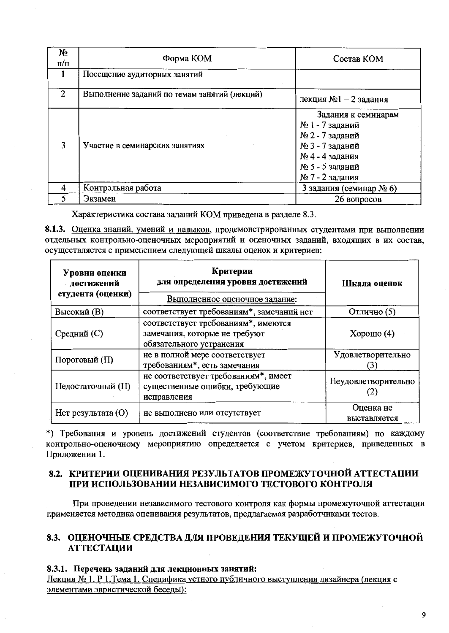| Nο<br>$\pi/\pi$ | Форма КОМ                                    | Состав КОМ                                                                                                                            |
|-----------------|----------------------------------------------|---------------------------------------------------------------------------------------------------------------------------------------|
|                 | Посещение аудиторных занятий                 |                                                                                                                                       |
|                 | Выполнение заданий по темам занятий (лекций) | лекция №1 - 2 задания                                                                                                                 |
| 3               | Участие в семинарских занятиях               | Задания к семинарам<br>№ 1 - 7 заданий<br>№ 2 - 7 заданий<br>№ 3 - 7 заданий<br>№ 4 - 4 задания<br>№ 5 - 5 заданий<br>№ 7 - 2 задания |
| 4               | Контрольная работа                           | 3 задания (семинар № 6)                                                                                                               |
|                 | Экзамен                                      | 26 вопросов                                                                                                                           |

Характеристика состава заданий КОМ приведена в разделе 8.3.

8.1.3. Оценка знаний, умений и навыков, продемонстрированных студентами при выполнении отдельных контрольно-оценочных мероприятий и оценочных заданий, входящих в их состав, осуществляется с применением следующей шкалы оценок и критериев:

| Уровни оценки<br><b>и достижений</b><br>студента (оценки) | Критерии<br>для определения уровня достижений<br>Выполненное оценочное задание:                  | Шкала оценок              |  |
|-----------------------------------------------------------|--------------------------------------------------------------------------------------------------|---------------------------|--|
| <b>Высокий</b> (В)                                        | соответствует требованиям*, замечаний нет                                                        | Отлично (5)               |  |
| Средний (С)                                               | соответствует требованиям*, имеются<br>замечания, которые не требуют<br>обязательного устранения | Хорошо $(4)$              |  |
| Пороговый (П)                                             | не в полной мере соответствует<br>требованиям*, есть замечания                                   | Удовлетворительно         |  |
| Недостаточный (Н)                                         | не соответствует требованиям*, имеет<br>существенные ошибки, требующие<br>исправления            | Неудовлетворительно       |  |
| $Her$ результата $(O)$                                    | не выполнено или отсутствует                                                                     | Оценка не<br>выставляется |  |

\*) Требования и уровень достижений студентов (соответствие требованиям) по каждому контрольно-оценочному мероприятию определяется с учетом критериев, приведенных в Приложении 1.

## 8.2. КРИТЕРИИ ОЦЕНИВАНИЯ РЕЗУЛЬТАТОВ ПРОМЕЖУТОЧНОЙ АТТЕСТАЦИИ ПРИ ИСПОЛЬЗОВАНИИ НЕЗАВИСИМОГО ТЕСТОВОГО КОНТРОЛЯ

При проведении независимого тестового контроля как формы промежуточной аттестации применяется методика оценивания результатов, предлагаемая разработчиками тестов.

## 8.3. ОЦЕНОЧНЫЕ СРЕДСТВА ДЛЯ ПРОВЕДЕНИЯ ТЕКУЩЕЙ И ПРОМЕЖУТОЧНОЙ **АТТЕСТАЦИИ**

## 8.3.1. Перечень заданий для лекционных занятий:

Лекция № 1. Р 1. Тема 1. Специфика устного публичного выступления дизайнера (лекция с элементами эвристической беседы):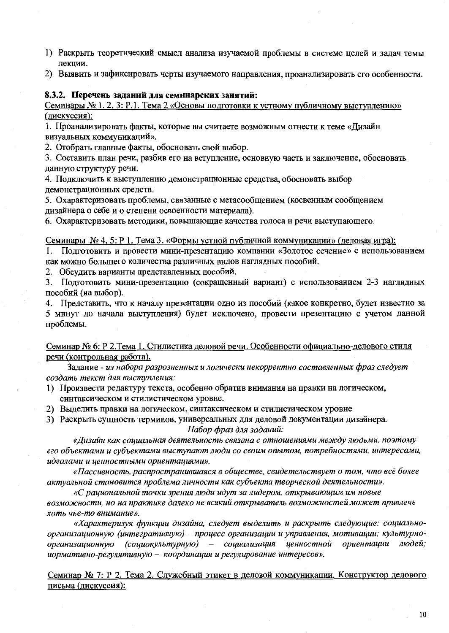- 1) Раскрыть теоретический смысл анализа изучаемой проблемы в системе целей и задач темы лекции.
- 2) Выявить и зафиксировать черты изучаемого направления, проанализировать его особенности.

### 8.3.2. Перечень заданий для семинарских занятий:

Семинары № 1, 2, 3: Р.1. Тема 2 «Основы подготовки к устному публичному выступлению» (дискуссия):

1. Проанализировать факты, которые вы считаете возможным отнести к теме «Дизайн визуальных коммуникаций».

2. Отобрать главные факты, обосновать свой выбор.

3. Составить план речи, разбив его на вступление, основную часть и заключение, обосновать данную структуру речи.

4. Подключить к выступлению демонстрационные средства, обосновать выбор демонстрационных средств.

5. Охарактеризовать проблемы, связанные с метасообщением (косвенным сообщением дизайнера о себе и о степени освоенности материала).

6. Охарактеризовать методики, повышающие качества голоса и речи выступающего.

## Семинары № 4, 5: Р 1. Тема 3. «Формы устной публичной коммуникации» (деловая игра):

1. Подготовить и провести мини-презентацию компании «Золотое сечение» с использованием как можно большего количества различных видов наглядных пособий.

2. Обсудить варианты представленных пособий.

3. Подготовить мини-презентацию (сокращенный вариант) с использованием 2-3 наглядных пособий (на выбор).

4. Представить, что к началу презентации одно из пособий (какое конкретно, будет известно за 5 минут до начала выступления) будет исключено, провести презентацию с учетом данной проблемы.

Семинар № 6: Р 2. Тема 1. Стилистика деловой речи. Особенности официально-делового стиля речи (контрольная работа).

Задание - из набора разрозненных и логически некорректно составленных фраз следует создать текст для выступления:

- 1) Произвести редактуру текста, особенно обратив внимания на правки на логическом, синтаксическом и стилистическом уровне.
- 2) Выделить правки на логическом, синтаксическом и стилистическом уровне
- 3) Раскрыть сущность терминов, универсальных для деловой документации дизайнера. Набор фраз для заданий:

«Дизайн как социальная деятельность связана с отношениями между людьми, поэтому его объектами и субъектами выступают люди со своим опытом, потребностями, интересами, идеалами и ценностными ориентациями».

«Пассивность, распространившаяся в обществе, свидетельствует о том, что всё более актуальной становится проблема личности как субъекта творческой деятельности».

«С рациональной точки зрения люди идут за лидером, открывающим им новые возможности, но на практике далеко не всякий открыватель возможностей может привлечь хоть чье-то внимание».

«Характеризуя функции дизайна, следует выделить и раскрыть следующие: социальноорганизационную (интегративную) – процесс организации и управления, мотивации; культурноорганизационную (социокультурную) - социализация ценностной ориентации людей; нормативно-регулятивную - координация и регулирование интересов».

Семинар № 7: Р 2. Тема 2. Служебный этикет в деловой коммуникации. Конструктор делового письма (дискуссия):

 $10$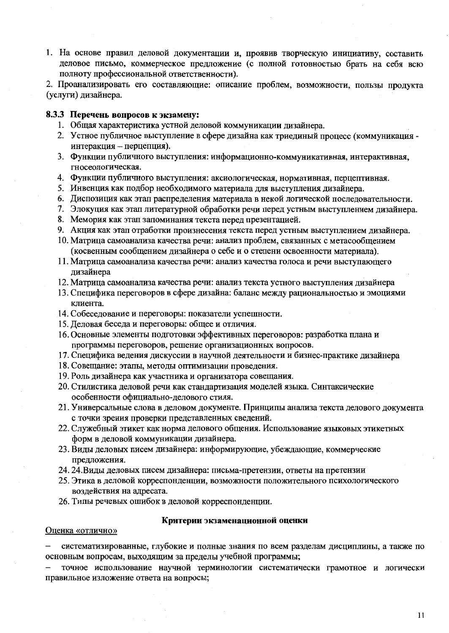1. На основе правил деловой документации и, проявив творческую инициативу, составить деловое письмо, коммерческое предложение (с полной готовностью брать на себя всю полноту профессиональной ответственности).

2. Проанализировать его составляющие: описание проблем, возможности, пользы продукта (услуги) дизайнера.

## 8.3.3 Перечень вопросов к экзамену:

- 1. Общая характеристика устной деловой коммуникации дизайнера.
- 2. Устное публичное выступление в сфере дизайна как триединый процесс (коммуникация интеракция - перцепция).
- 3. Функции публичного выступления: информационно-коммуникативная, интерактивная, гносеологическая.
- 4. Функции публичного выступления: аксиологическая, нормативная, перцептивная.
- 5. Инвенция как подбор необходимого материала для выступления дизайнера.
- 6. Диспозиция как этап распределения материала в некой логической последовательности.
- 7. Элокуция как этап литературной обработки речи перед устным выступлением дизайнера.
- 8. Мемория как этап запоминания текста перед презентацией.
- 9. Акция как этап отработки произнесения текста перед устным выступлением дизайнера.
- 10. Матрица самоанализа качества речи: анализ проблем, связанных с метасообщением (косвенным сообщением дизайнера о себе и о степени освоенности материала).
- 11. Матрица самоанализа качества речи: анализ качества голоса и речи выступающего дизайнера
- 12. Матрица самоанализа качества речи: анализ текста устного выступления дизайнера
- 13. Специфика переговоров в сфере дизайна: баланс между рациональностью и эмоциями клиента.
- 14. Собеседование и переговоры: показатели успешности.
- 15. Деловая беседа и переговоры: общее и отличия.
- 16. Основные элементы подготовки эффективных переговоров: разработка плана и программы переговоров, решение организационных вопросов.
- 17. Специфика ведения дискуссии в научной деятельности и бизнес-практике дизайнера
- 18. Совещание: этапы, методы оптимизации проведения.
- 19. Роль дизайнера как участника и организатора совещания.
- 20. Стилистика деловой речи как стандартизация моделей языка. Синтаксические особенности официально-делового стиля.
- 21. Универсальные слова в деловом документе. Принципы анализа текста делового документа с точки зрения проверки представленных сведений.
- 22. Служебный этикет как норма делового общения. Использование языковых этикетных форм в деловой коммуникации дизайнера.
- 23. Виды деловых писем дизайнера: информирующие, убеждающие, коммерческие предложения.
- 24. 24. Виды деловых писем дизайнера: письма-претензии, ответы на претензии
- 25. Этика в деловой корреспонденции, возможности положительного психологического воздействия на адресата.
- 26. Типы речевых ошибок в деловой корреспонденции.

#### Критерии экзаменационной оценки

#### Оценка «отлично»

систематизированные, глубокие и полные знания по всем разделам дисциплины, а также по основным вопросам, выходящим за пределы учебной программы;

точное использование научной терминологии систематически грамотное и логически правильное изложение ответа на вопросы;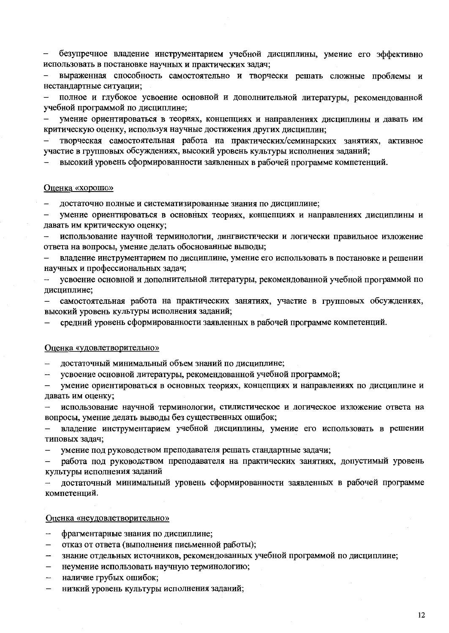безупречное владение инструментарием учебной дисциплины, умение его эффективно использовать в постановке научных и практических задач;

выраженная способность самостоятельно и творчески решать сложные проблемы и нестандартные ситуации;

полное и глубокое усвоение основной и дополнительной литературы, рекомендованной учебной программой по дисциплине;

умение ориентироваться в теориях, концепциях и направлениях дисциплины и давать им критическую оценку, используя научные достижения других дисциплин;

творческая самостоятельная работа на практических/семинарских занятиях, активное участие в групповых обсуждениях, высокий уровень культуры исполнения заданий;

высокий уровень сформированности заявленных в рабочей программе компетенций.

#### Оценка «хорошо»

достаточно полные и систематизированные знания по дисциплине;

умение ориентироваться в основных теориях, концепциях и направлениях дисциплины и  $\overline{a}$ давать им критическую оценку;

использование научной терминологии, лингвистически и логически правильное изложение ответа на вопросы, умение делать обоснованные выводы;

владение инструментарием по дисциплине, умение его использовать в постановке и решении научных и профессиональных задач;

усвоение основной и дополнительной литературы, рекомендованной учебной программой по дисциплине;

самостоятельная работа на практических занятиях, участие в групповых обсуждениях, высокий уровень культуры исполнения заданий;

средний уровень сформированности заявленных в рабочей программе компетенций.

#### Оценка «удовлетворительно»

достаточный минимальный объем знаний по дисциплине;

усвоение основной литературы, рекомендованной учебной программой;  $\overline{\phantom{a}}$ 

умение ориентироваться в основных теориях, концепциях и направлениях по дисциплине и давать им оценку;

использование научной терминологии, стилистическое и логическое изложение ответа на вопросы, умение делать выводы без существенных ошибок;

владение инструментарием учебной дисциплины, умение его использовать в решении типовых задач;

умение под руководством преподавателя решать стандартные задачи;

работа под руководством преподавателя на практических занятиях, допустимый уровень  $$ культуры исполнения заданий

достаточный минимальный уровень сформированности заявленных в рабочей программе  $\overline{\phantom{m}}$ компетенций.

#### Оценка «неудовлетворительно»

- фрагментарные знания по дисциплине;  $\overline{\phantom{0}}$
- отказ от ответа (выполнения письменной работы);  $\overline{\phantom{0}}$
- знание отдельных источников, рекомендованных учебной программой по дисциплине;
- неумение использовать научную терминологию;  $\overline{\phantom{0}}$
- наличие грубых ошибок;
- низкий уровень культуры исполнения заданий;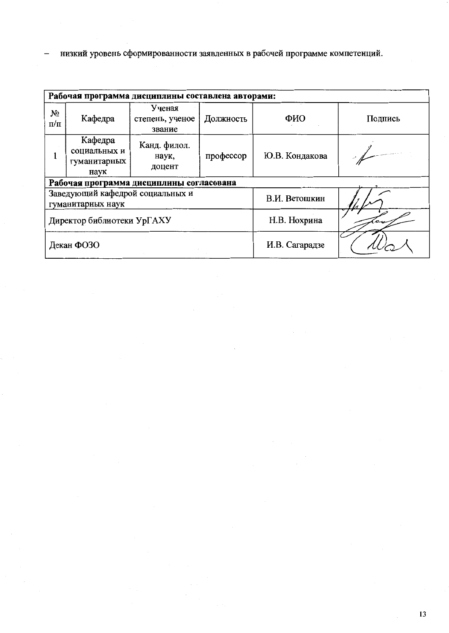низкий уровень сформированности заявленных в рабочей программе компетенций.  $\equiv$ 

|                            | Рабочая программа дисциплины составлена авторами: |                                              |              |                |         |  |  |  |  |  |  |  |
|----------------------------|---------------------------------------------------|----------------------------------------------|--------------|----------------|---------|--|--|--|--|--|--|--|
| No<br>$\Pi/\Pi$            | Кафедра                                           | Ученая<br>степень, ученое<br>звание          | Должность    | ФИО            | Подпись |  |  |  |  |  |  |  |
|                            | Кафедра<br>социальных и<br>гуманитарных<br>наук   | Канд. филол.<br>профессор<br>наук,<br>доцент |              | Ю.В. Кондакова |         |  |  |  |  |  |  |  |
|                            |                                                   | Рабочая программа дисциплины согласована     |              |                |         |  |  |  |  |  |  |  |
|                            | гуманитарных наук                                 | Заведующий кафедрой социальных и             |              | В.И. Ветошкин  |         |  |  |  |  |  |  |  |
| Директор библиотеки УрГАХУ |                                                   |                                              | Н.В. Нохрина |                |         |  |  |  |  |  |  |  |
| Декан ФОЗО                 |                                                   |                                              |              | И.В. Сагарадзе |         |  |  |  |  |  |  |  |